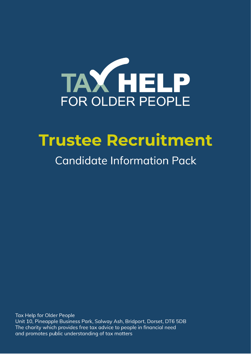

# **Trustee Recruitment**

## **Candidate Information Pack**

**Tax Help for Older People** Unit 10, Pineapple Business Park, Salway Ash, Bridport, Dorset, DT6 5DB The charity which provides free tax advice to people in financial need and promotes public understanding of tax matters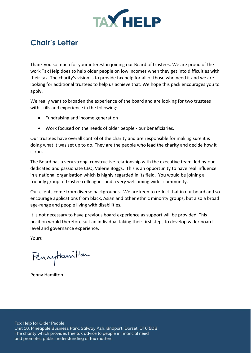

### **Chair's Letter**

Thank you so much for your interest in joining our Board of trustees. We are proud of the work Tax Help does to help older people on low incomes when they get into difficulties with their tax. The charity's vision is to provide tax help for all of those who need it and we are looking for additional trustees to help us achieve that. We hope this pack encourages you to apply.

We really want to broaden the experience of the board and are looking for two trustees with skills and experience in the following:

- Fundraising and income generation
- Work focused on the needs of older people our beneficiaries.

Our trustees have overall control of the charity and are responsible for making sure it is doing what it was set up to do. They are the people who lead the charity and decide how it is run.

The Board has a very strong, constructive relationship with the executive team, led by our dedicated and passionate CEO, Valerie Boggs. This is an opportunity to have real influence in a national organisation which is highly regarded in its field. You would be joining a friendly group of trustee colleagues and a very welcoming wider community.

Our clients come from diverse backgrounds. We are keen to reflect that in our board and so encourage applications from black, Asian and other ethnic minority groups, but also a broad age-range and people living with disabilities.

It is not necessary to have previous board experience as support will be provided. This position would therefore suit an individual taking their first steps to develop wider board level and governance experience.

Yours

Pennyttanitan

Penny Hamilton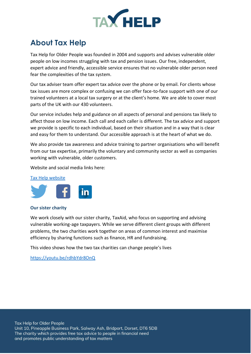

### **About Tax Help**

Tax Help for Older People was founded in 2004 and supports and advises vulnerable older people on low incomes struggling with tax and pension issues. Our free, independent, expert advice and friendly, accessible service ensures that no vulnerable older person need fear the complexities of the tax system.

Our tax adviser team offer expert tax advice over the phone or by email. For clients whose tax issues are more complex or confusing we can offer face-to-face support with one of our trained volunteers at a local tax surgery or at the client's home. We are able to cover most parts of the UK with our 430 volunteers.

Our service includes help and guidance on all aspects of personal and pensions tax likely to affect those on low income. Each call and each caller is different. The tax advice and support we provide is specific to each individual, based on their situation and in a way that is clear and easy for them to understand. Our accessible approach is at the heart of what we do.

We also provide tax awareness and advice training to partner organisations who will benefit from our tax expertise, primarily the voluntary and community sector as well as companies working with vulnerable, older customers.

Website and social media links here:

#### [Tax Help website](https://taxvol.org.uk/)



### **Our sister charity**

We work closely with our sister charity, TaxAid, who focus on supporting and advising vulnerable working-age taxpayers. While we serve different client groups with different problems, the two charities work together on areas of common interest and maximise efficiency by sharing functions such as finance, HR and fundraising.

This video shows how the two tax charities can change people's lives

<https://youtu.be/rdhbYdr8OnQ>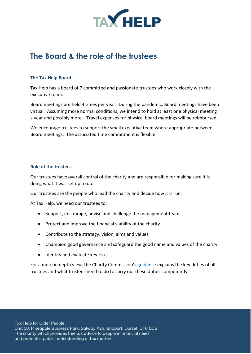

### **The Board & the role of the trustees**

### **The Tax Help Board**

Tax Help has a board of 7 committed and passionate trustees who work closely with the executive team.

Board meetings are held 4 times per year. During the pandemic, Board meetings have been virtual. Assuming more normal conditions, we intend to hold at least one physical meeting a year and possibly more. Travel expenses for physical board meetings will be reimbursed.

We encourage trustees to support the small executive team where appropriate between Board meetings. The associated time commitment is flexible.

### **Role of the trustees**

Our trustees have overall control of the charity and are responsible for making sure it is doing what it was set up to do.

Our trustees are the people who lead the charity and decide how it is run.

At Tax Help, we need our trustees to:

- Support, encourage, advise and challenge the management team
- Protect and improve the financial viability of the charity
- Contribute to the strategy, vision, aims and values
- Champion good governance and safeguard the good name and values of the charity
- Identify and evaluate key risks

For a more in depth view, the Charity Commission's [guidance](https://www.gov.uk/government/publications/the-essential-trustee-what-you-need-to-know-cc3/the-essential-trustee-what-you-need-to-know-what-you-need-to-do#trustees-duties-at-a-glance) explains the key duties of all trustees and what trustees need to do to carry out these duties competently.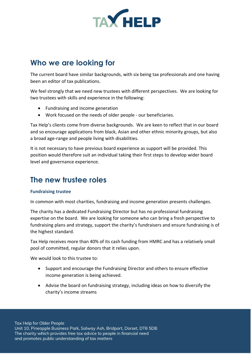

### **Who we are looking for**

The current board have similar backgrounds, with six being tax professionals and one having been an editor of tax publications.

We feel strongly that we need new trustees with different perspectives. We are looking for two trustees with skills and experience in the following:

- Fundraising and income generation
- Work focused on the needs of older people our beneficiaries.

Tax Help's clients come from diverse backgrounds. We are keen to reflect that in our board and so encourage applications from black, Asian and other ethnic minority groups, but also a broad age-range and people living with disabilities.

It is not necessary to have previous board experience as support will be provided. This position would therefore suit an individual taking their first steps to develop wider board level and governance experience.

### **The new trustee roles**

### **Fundraising trustee**

In common with most charities, fundraising and income generation presents challenges.

The charity has a dedicated Fundraising Director but has no professional fundraising expertise on the board. We are looking for someone who can bring a fresh perspective to fundraising plans and strategy, support the charity's fundraisers and ensure fundraising is of the highest standard.

Tax Help receives more than 40% of its cash funding from HMRC and has a relatively small pool of committed, regular donors that it relies upon.

We would look to this trustee to:

- Support and encourage the Fundraising Director and others to ensure effective income generation is being achieved.
- Advise the board on fundraising strategy, including ideas on how to diversify the charity's income streams

Tax Help for Older People Unit 10, Pineapple Business Park, Salway Ash, Bridport, Dorset, DT6 5DB The charity which provides free tax advice to people in financial need and promotes public understanding of tax matters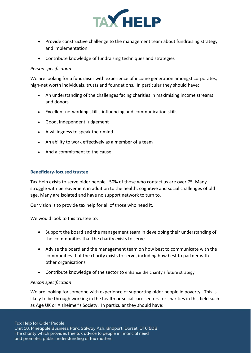

- Provide constructive challenge to the management team about fundraising strategy and implementation
- Contribute knowledge of fundraising techniques and strategies

### *Person specification*

We are looking for a fundraiser with experience of income generation amongst corporates, high-net worth individuals, trusts and foundations. In particular they should have:

- An understanding of the challenges facing charities in maximising income streams and donors
- Excellent networking skills, influencing and communication skills
- Good, independent judgement
- A willingness to speak their mind
- An ability to work effectively as a member of a team
- And a commitment to the cause.

### **Beneficiary-focused trustee**

Tax Help exists to serve older people. 50% of those who contact us are over 75. Many struggle with bereavement in addition to the health, cognitive and social challenges of old age. Many are isolated and have no support network to turn to.

Our vision is to provide tax help for all of those who need it.

We would look to this trustee to:

- Support the board and the management team in developing their understanding of the communities that the charity exists to serve
- Advise the board and the management team on how best to communicate with the communities that the charity exists to serve, including how best to partner with other organisations
- Contribute knowledge of the sector to enhance the charity's future strategy

### *Person specification*

We are looking for someone with experience of supporting older people in poverty. This is likely to be through working in the health or social care sectors, or charities in this field such as Age UK or Alzheimer's Society. In particular they should have: